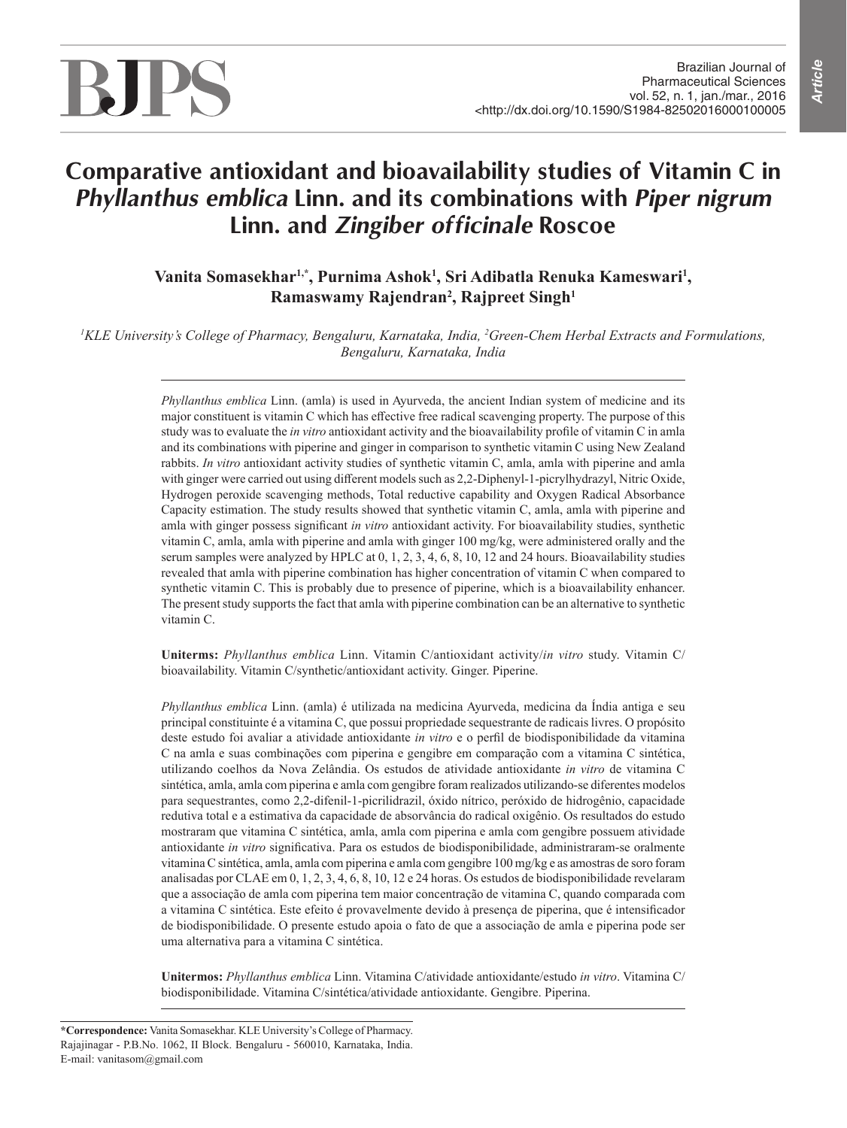# BJPS

# **Comparative antioxidant and bioavailability studies of Vitamin C in**  *Phyllanthus emblica* **Linn. and its combinations with** *Piper nigrum* **Linn. and** *Zingiber officinale* **Roscoe**

Vanita Somasekhar<sup>ı,\*</sup>, Purnima Ashok<sup>ı</sup>, Sri Adibatla Renuka Kameswari<sup>ı</sup>, **Ramaswamy Rajendran2 , Rajpreet Singh1**

<sup>1</sup>KLE University's College of Pharmacy, Bengaluru, Karnataka, India, <sup>2</sup>Green-Chem Herbal Extracts and Formulations, *Bengaluru, Karnataka, India*

> *Phyllanthus emblica* Linn. (amla) is used in Ayurveda, the ancient Indian system of medicine and its major constituent is vitamin C which has effective free radical scavenging property. The purpose of this study was to evaluate the *in vitro* antioxidant activity and the bioavailability profile of vitamin C in amla and its combinations with piperine and ginger in comparison to synthetic vitamin C using New Zealand rabbits. *In vitro* antioxidant activity studies of synthetic vitamin C, amla, amla with piperine and amla with ginger were carried out using different models such as 2,2-Diphenyl-1-picrylhydrazyl, Nitric Oxide, Hydrogen peroxide scavenging methods, Total reductive capability and Oxygen Radical Absorbance Capacity estimation. The study results showed that synthetic vitamin C, amla, amla with piperine and amla with ginger possess significant *in vitro* antioxidant activity. For bioavailability studies, synthetic vitamin C, amla, amla with piperine and amla with ginger 100 mg/kg, were administered orally and the serum samples were analyzed by HPLC at 0, 1, 2, 3, 4, 6, 8, 10, 12 and 24 hours. Bioavailability studies revealed that amla with piperine combination has higher concentration of vitamin C when compared to synthetic vitamin C. This is probably due to presence of piperine, which is a bioavailability enhancer. The present study supports the fact that amla with piperine combination can be an alternative to synthetic vitamin C.

> **Uniterms:** *Phyllanthus emblica* Linn. Vitamin C/antioxidant activity/*in vitro* study. Vitamin C/ bioavailability. Vitamin C/synthetic/antioxidant activity. Ginger. Piperine.

> *Phyllanthus emblica* Linn. (amla) é utilizada na medicina Ayurveda, medicina da Índia antiga e seu principal constituinte é a vitamina C, que possui propriedade sequestrante de radicais livres. O propósito deste estudo foi avaliar a atividade antioxidante *in vitro* e o perfil de biodisponibilidade da vitamina C na amla e suas combinações com piperina e gengibre em comparação com a vitamina C sintética, utilizando coelhos da Nova Zelândia. Os estudos de atividade antioxidante *in vitro* de vitamina C sintética, amla, amla com piperina e amla com gengibre foram realizados utilizando-se diferentes modelos para sequestrantes, como 2,2-difenil-1-picrilidrazil, óxido nítrico, peróxido de hidrogênio, capacidade redutiva total e a estimativa da capacidade de absorvância do radical oxigênio. Os resultados do estudo mostraram que vitamina C sintética, amla, amla com piperina e amla com gengibre possuem atividade antioxidante *in vitro* significativa. Para os estudos de biodisponibilidade, administraram-se oralmente vitamina C sintética, amla, amla com piperina e amla com gengibre 100 mg/kg e as amostras de soro foram analisadas por CLAE em 0, 1, 2, 3, 4, 6, 8, 10, 12 e 24 horas. Os estudos de biodisponibilidade revelaram que a associação de amla com piperina tem maior concentração de vitamina C, quando comparada com a vitamina C sintética. Este efeito é provavelmente devido à presença de piperina, que é intensificador de biodisponibilidade. O presente estudo apoia o fato de que a associação de amla e piperina pode ser uma alternativa para a vitamina C sintética.

> **Unitermos:** *Phyllanthus emblica* Linn. Vitamina C/atividade antioxidante/estudo *in vitro*. Vitamina C/ biodisponibilidade. Vitamina C/sintética/atividade antioxidante. Gengibre. Piperina.

**<sup>\*</sup>Correspondence:** Vanita Somasekhar. KLE University's College of Pharmacy. Rajajinagar - P.B.No. 1062, II Block. Bengaluru - 560010, Karnataka, India. E-mail: vanitasom@gmail.com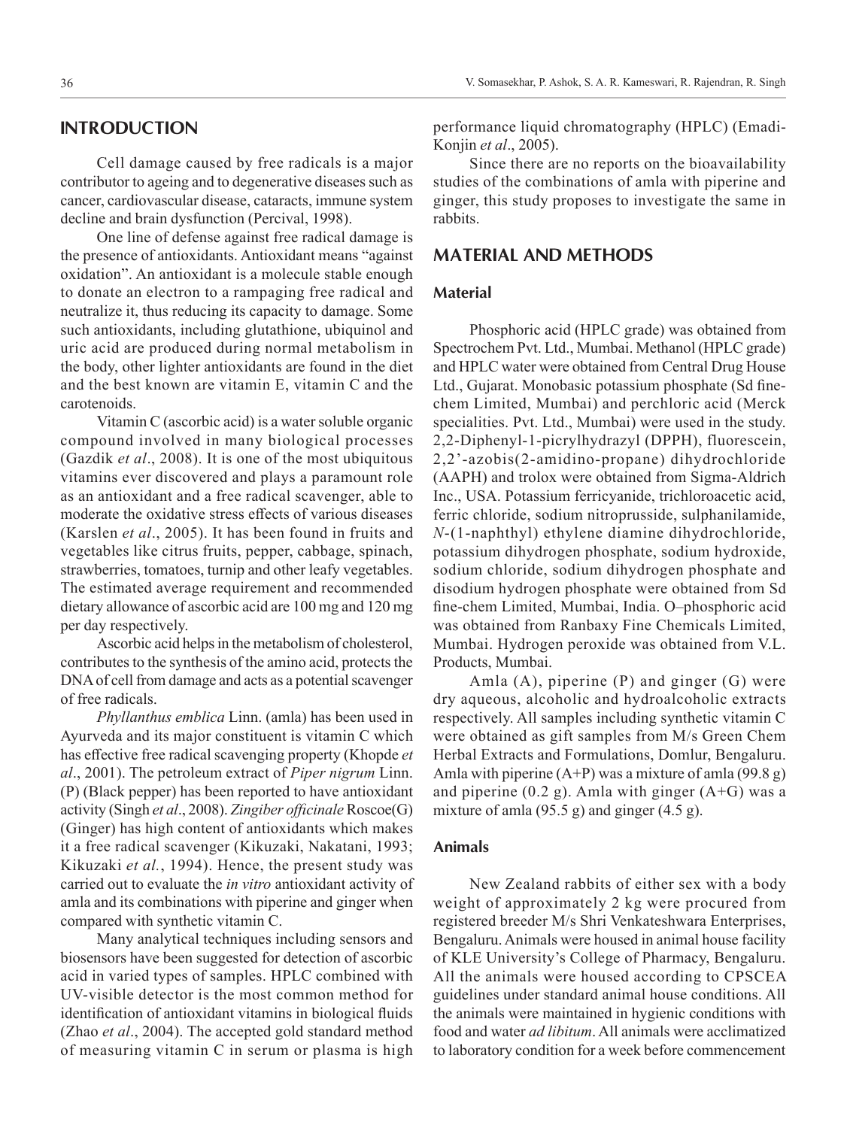Cell damage caused by free radicals is a major contributor to ageing and to degenerative diseases such as cancer, cardiovascular disease, cataracts, immune system decline and brain dysfunction (Percival, 1998).

One line of defense against free radical damage is the presence of antioxidants. Antioxidant means "against oxidation". An antioxidant is a molecule stable enough to donate an electron to a rampaging free radical and neutralize it, thus reducing its capacity to damage. Some such antioxidants, including glutathione, ubiquinol and uric acid are produced during normal metabolism in the body, other lighter antioxidants are found in the diet and the best known are vitamin E, vitamin C and the carotenoids.

Vitamin C (ascorbic acid) is a water soluble organic compound involved in many biological processes (Gazdik *et al*., 2008). It is one of the most ubiquitous vitamins ever discovered and plays a paramount role as an antioxidant and a free radical scavenger, able to moderate the oxidative stress effects of various diseases (Karslen *et al*., 2005). It has been found in fruits and vegetables like citrus fruits, pepper, cabbage, spinach, strawberries, tomatoes, turnip and other leafy vegetables. The estimated average requirement and recommended dietary allowance of ascorbic acid are 100 mg and 120 mg per day respectively.

Ascorbic acid helps in the metabolism of cholesterol, contributes to the synthesis of the amino acid, protects the DNA of cell from damage and acts as a potential scavenger of free radicals.

*Phyllanthus emblica* Linn. (amla) has been used in Ayurveda and its major constituent is vitamin C which has effective free radical scavenging property (Khopde *et al*., 2001). The petroleum extract of *Piper nigrum* Linn. (P) (Black pepper) has been reported to have antioxidant activity (Singh *et al*., 2008). *Zingiber officinale* Roscoe(G) (Ginger) has high content of antioxidants which makes it a free radical scavenger (Kikuzaki, Nakatani, 1993; Kikuzaki *et al.*, 1994). Hence, the present study was carried out to evaluate the *in vitro* antioxidant activity of amla and its combinations with piperine and ginger when compared with synthetic vitamin C.

Many analytical techniques including sensors and biosensors have been suggested for detection of ascorbic acid in varied types of samples. HPLC combined with UV-visible detector is the most common method for identification of antioxidant vitamins in biological fluids (Zhao *et al*., 2004). The accepted gold standard method of measuring vitamin C in serum or plasma is high

performance liquid chromatography (HPLC) (Emadi-Konjin *et al*., 2005).

Since there are no reports on the bioavailability studies of the combinations of amla with piperine and ginger, this study proposes to investigate the same in rabbits.

# **MATERIAL AND METHODS**

#### **Material**

Phosphoric acid (HPLC grade) was obtained from Spectrochem Pvt. Ltd., Mumbai. Methanol (HPLC grade) and HPLC water were obtained from Central Drug House Ltd., Gujarat. Monobasic potassium phosphate (Sd finechem Limited, Mumbai) and perchloric acid (Merck specialities. Pvt. Ltd., Mumbai) were used in the study. 2,2-Diphenyl-1-picrylhydrazyl (DPPH), fluorescein, 2,2'-azobis(2-amidino-propane) dihydrochloride (AAPH) and trolox were obtained from Sigma-Aldrich Inc., USA. Potassium ferricyanide, trichloroacetic acid, ferric chloride, sodium nitroprusside, sulphanilamide, *N*-(1-naphthyl) ethylene diamine dihydrochloride, potassium dihydrogen phosphate, sodium hydroxide, sodium chloride, sodium dihydrogen phosphate and disodium hydrogen phosphate were obtained from Sd fine-chem Limited, Mumbai, India. O–phosphoric acid was obtained from Ranbaxy Fine Chemicals Limited, Mumbai. Hydrogen peroxide was obtained from V.L. Products, Mumbai.

Amla (A), piperine (P) and ginger (G) were dry aqueous, alcoholic and hydroalcoholic extracts respectively. All samples including synthetic vitamin C were obtained as gift samples from M/s Green Chem Herbal Extracts and Formulations, Domlur, Bengaluru. Amla with piperine  $(A+P)$  was a mixture of amla (99.8 g) and piperine  $(0.2 g)$ . Amla with ginger  $(A+G)$  was a mixture of amla (95.5 g) and ginger (4.5 g).

# **Animals**

New Zealand rabbits of either sex with a body weight of approximately 2 kg were procured from registered breeder M/s Shri Venkateshwara Enterprises, Bengaluru. Animals were housed in animal house facility of KLE University's College of Pharmacy, Bengaluru. All the animals were housed according to CPSCEA guidelines under standard animal house conditions. All the animals were maintained in hygienic conditions with food and water *ad libitum*. All animals were acclimatized to laboratory condition for a week before commencement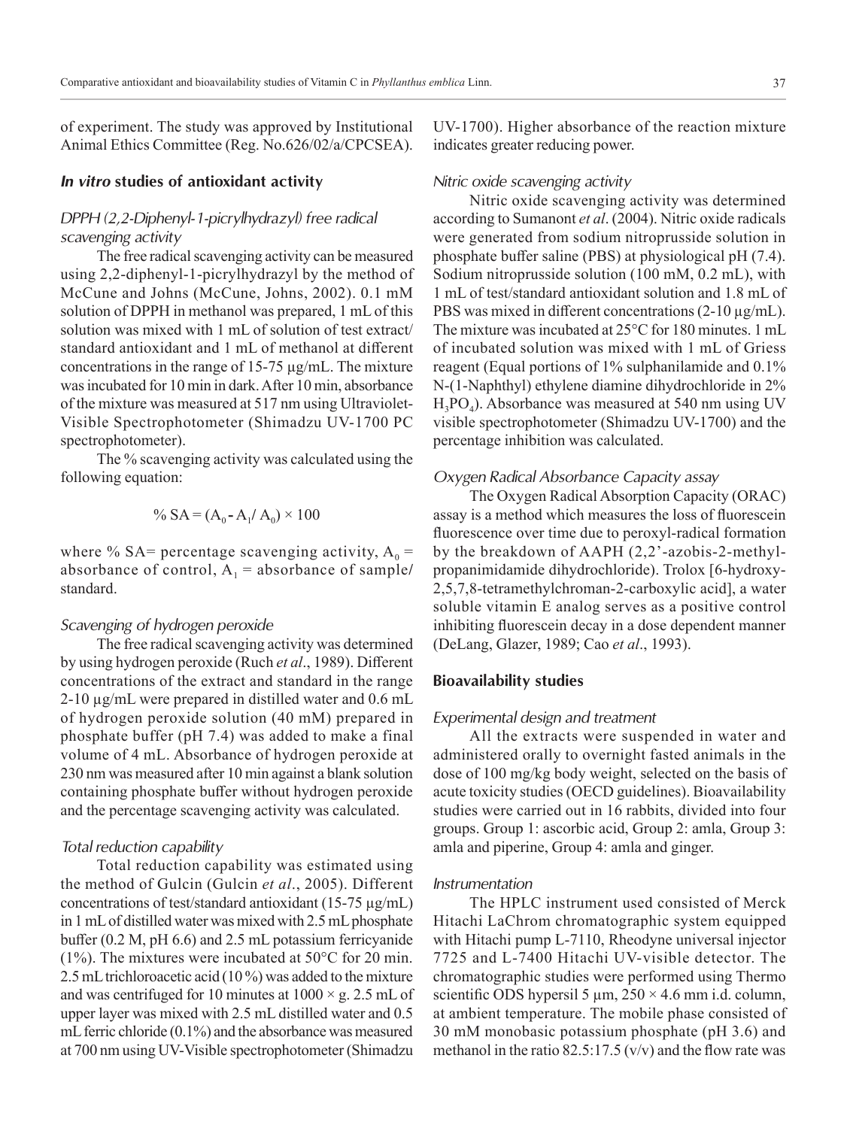of experiment. The study was approved by Institutional Animal Ethics Committee (Reg. No.626/02/a/CPCSEA).

# *In vitro* **studies of antioxidant activity**

# *DPPH (2,2-Diphenyl-1-picrylhydrazyl) free radical scavenging activity*

The free radical scavenging activity can be measured using 2,2-diphenyl-1-picrylhydrazyl by the method of McCune and Johns (McCune, Johns, 2002). 0.1 mM solution of DPPH in methanol was prepared, 1 mL of this solution was mixed with 1 mL of solution of test extract/ standard antioxidant and 1 mL of methanol at different concentrations in the range of 15-75 µg/mL. The mixture was incubated for 10 min in dark. After 10 min, absorbance of the mixture was measured at 517 nm using Ultraviolet-Visible Spectrophotometer (Shimadzu UV-1700 PC spectrophotometer).

The % scavenging activity was calculated using the following equation:

$$
\% SA = (A_0 - A_1 / A_0) \times 100
$$

where % SA= percentage scavenging activity,  $A_0$  = absorbance of control,  $A_1$  = absorbance of sample/ standard.

## *Scavenging of hydrogen peroxide*

The free radical scavenging activity was determined by using hydrogen peroxide (Ruch *et al*., 1989). Different concentrations of the extract and standard in the range 2-10 µg/mL were prepared in distilled water and 0.6 mL of hydrogen peroxide solution (40 mM) prepared in phosphate buffer (pH 7.4) was added to make a final volume of 4 mL. Absorbance of hydrogen peroxide at 230 nm was measured after 10 min against a blank solution containing phosphate buffer without hydrogen peroxide and the percentage scavenging activity was calculated.

# *Total reduction capability*

Total reduction capability was estimated using the method of Gulcin (Gulcin *et al*., 2005). Different concentrations of test/standard antioxidant (15-75 µg/mL) in 1 mL of distilled water was mixed with 2.5 mL phosphate buffer (0.2 M, pH 6.6) and 2.5 mL potassium ferricyanide (1%). The mixtures were incubated at 50°C for 20 min. 2.5 mL trichloroacetic acid (10 %) was added to the mixture and was centrifuged for 10 minutes at  $1000 \times g$ . 2.5 mL of upper layer was mixed with 2.5 mL distilled water and 0.5 mL ferric chloride (0.1%) and the absorbance was measured at 700 nm using UV‑Visible spectrophotometer (Shimadzu UV-1700). Higher absorbance of the reaction mixture indicates greater reducing power.

### *Nitric oxide scavenging activity*

Nitric oxide scavenging activity was determined according to Sumanont *et al*. (2004). Nitric oxide radicals were generated from sodium nitroprusside solution in phosphate buffer saline (PBS) at physiological pH (7.4). Sodium nitroprusside solution (100 mM, 0.2 mL), with 1 mL of test/standard antioxidant solution and 1.8 mL of PBS was mixed in different concentrations (2-10  $\mu$ g/mL). The mixture was incubated at 25°C for 180 minutes. 1 mL of incubated solution was mixed with 1 mL of Griess reagent (Equal portions of 1% sulphanilamide and 0.1% N-(1-Naphthyl) ethylene diamine dihydrochloride in 2%  $H_3PO_4$ ). Absorbance was measured at 540 nm using UV visible spectrophotometer (Shimadzu UV-1700) and the percentage inhibition was calculated.

#### *Oxygen Radical Absorbance Capacity assay*

The Oxygen Radical Absorption Capacity (ORAC) assay is a method which measures the loss of fluorescein fluorescence over time due to peroxyl-radical formation by the breakdown of AAPH (2,2'-azobis-2-methylpropanimidamide dihydrochloride). Trolox [6-hydroxy-2,5,7,8-tetramethylchroman-2-carboxylic acid], a water soluble vitamin E analog serves as a positive control inhibiting fluorescein decay in a dose dependent manner (DeLang, Glazer, 1989; Cao *et al*., 1993).

# **Bioavailability studies**

# *Experimental design and treatment*

All the extracts were suspended in water and administered orally to overnight fasted animals in the dose of 100 mg/kg body weight, selected on the basis of acute toxicity studies (OECD guidelines). Bioavailability studies were carried out in 16 rabbits, divided into four groups. Group 1: ascorbic acid, Group 2: amla, Group 3: amla and piperine, Group 4: amla and ginger.

#### *Instrumentation*

The HPLC instrument used consisted of Merck Hitachi LaChrom chromatographic system equipped with Hitachi pump L-7110, Rheodyne universal injector 7725 and L-7400 Hitachi UV-visible detector. The chromatographic studies were performed using Thermo scientific ODS hypersil 5  $\mu$ m, 250 × 4.6 mm i.d. column, at ambient temperature. The mobile phase consisted of 30 mM monobasic potassium phosphate (pH 3.6) and methanol in the ratio  $82.5:17.5$  (v/v) and the flow rate was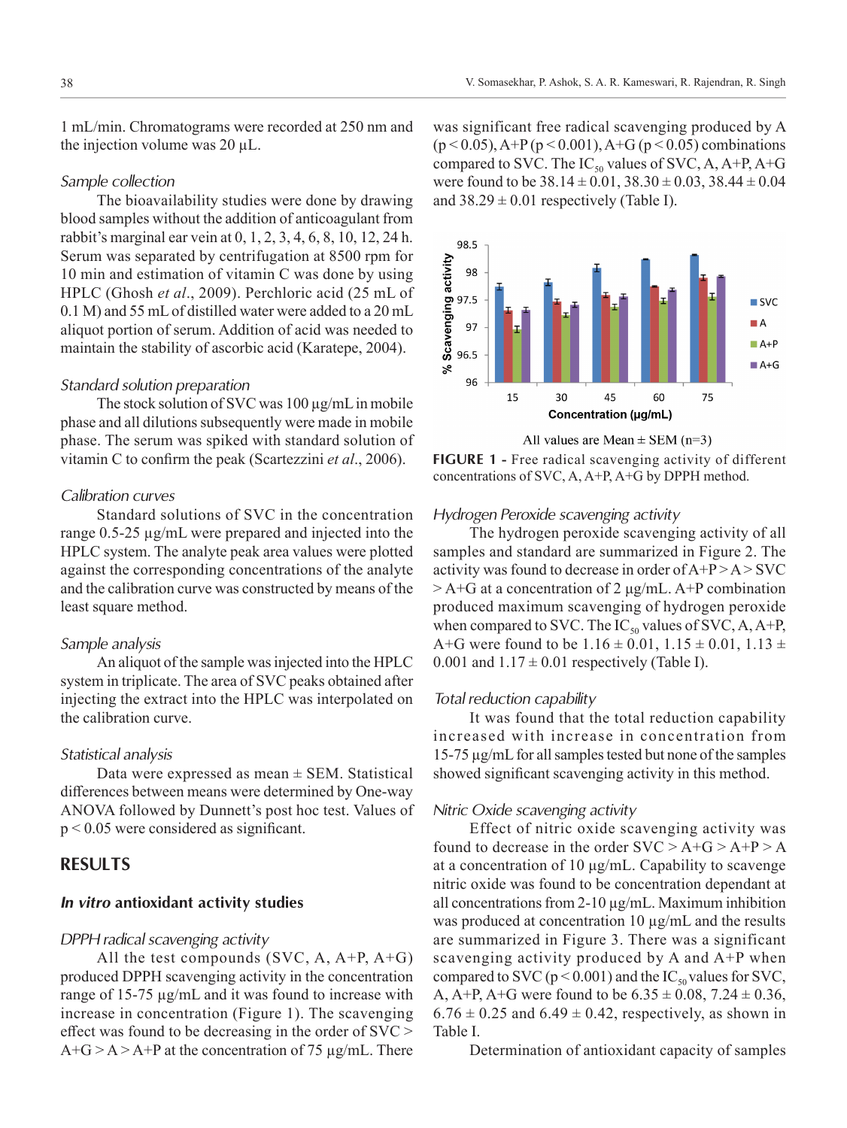1 mL/min. Chromatograms were recorded at 250 nm and the injection volume was 20 µL.

# *Sample collection*

The bioavailability studies were done by drawing blood samples without the addition of anticoagulant from rabbit's marginal ear vein at 0, 1, 2, 3, 4, 6, 8, 10, 12, 24 h. Serum was separated by centrifugation at 8500 rpm for 10 min and estimation of vitamin C was done by using HPLC (Ghosh *et al*., 2009). Perchloric acid (25 mL of 0.1 M) and 55 mL of distilled water were added to a 20 mL aliquot portion of serum. Addition of acid was needed to maintain the stability of ascorbic acid (Karatepe, 2004).

# *Standard solution preparation*

The stock solution of SVC was  $100 \mu g/mL$  in mobile phase and all dilutions subsequently were made in mobile phase. The serum was spiked with standard solution of vitamin C to confirm the peak (Scartezzini *et al*., 2006).

# *Calibration curves*

Standard solutions of SVC in the concentration range 0.5-25 µg/mL were prepared and injected into the HPLC system. The analyte peak area values were plotted against the corresponding concentrations of the analyte and the calibration curve was constructed by means of the least square method.

#### *Sample analysis*

An aliquot of the sample was injected into the HPLC system in triplicate. The area of SVC peaks obtained after injecting the extract into the HPLC was interpolated on the calibration curve.

#### *Statistical analysis*

Data were expressed as mean  $\pm$  SEM. Statistical differences between means were determined by One-way ANOVA followed by Dunnett's post hoc test. Values of p < 0.05 were considered as significant.

# **RESULTS**

# *In vitro* **antioxidant activity studies**

#### *DPPH radical scavenging activity*

All the test compounds (SVC, A, A+P, A+G) produced DPPH scavenging activity in the concentration range of 15-75 µg/mL and it was found to increase with increase in concentration (Figure 1). The scavenging effect was found to be decreasing in the order of SVC >  $A+G > A > A+P$  at the concentration of 75 µg/mL. There

was significant free radical scavenging produced by A  $(p < 0.05)$ , A+P ( $p < 0.001$ ), A+G ( $p < 0.05$ ) combinations compared to SVC. The  $IC_{50}$  values of SVC, A, A+P, A+G were found to be  $38.14 \pm 0.01$ ,  $38.30 \pm 0.03$ ,  $38.44 \pm 0.04$ and  $38.29 \pm 0.01$  respectively (Table I).



All values are Mean  $\pm$  SEM (n=3)

**FIGURE 1 -** Free radical scavenging activity of different concentrations of SVC, A, A+P, A+G by DPPH method.

# *Hydrogen Peroxide scavenging activity*

The hydrogen peroxide scavenging activity of all samples and standard are summarized in Figure 2. The activity was found to decrease in order of A+P > A > SVC  $> A + G$  at a concentration of 2 μg/mL. A+P combination produced maximum scavenging of hydrogen peroxide when compared to SVC. The  $IC_{50}$  values of SVC, A, A+P, A+G were found to be  $1.16 \pm 0.01$ ,  $1.15 \pm 0.01$ ,  $1.13 \pm 0.01$ 0.001 and  $1.17 \pm 0.01$  respectively (Table I).

#### *Total reduction capability*

It was found that the total reduction capability increased with increase in concentration from 15-75 µg/mL for all samples tested but none of the samples showed significant scavenging activity in this method.

# *Nitric Oxide scavenging activity*

Effect of nitric oxide scavenging activity was found to decrease in the order  $SVC > A+G > A+P > A$ at a concentration of 10 μg/mL. Capability to scavenge nitric oxide was found to be concentration dependant at all concentrations from 2-10 µg/mL. Maximum inhibition was produced at concentration 10 µg/mL and the results are summarized in Figure 3. There was a significant scavenging activity produced by A and A+P when compared to SVC ( $p < 0.001$ ) and the IC<sub>50</sub> values for SVC, A, A+P, A+G were found to be  $6.35 \pm 0.08$ ,  $7.24 \pm 0.36$ ,  $6.76 \pm 0.25$  and  $6.49 \pm 0.42$ , respectively, as shown in Table I.

Determination of antioxidant capacity of samples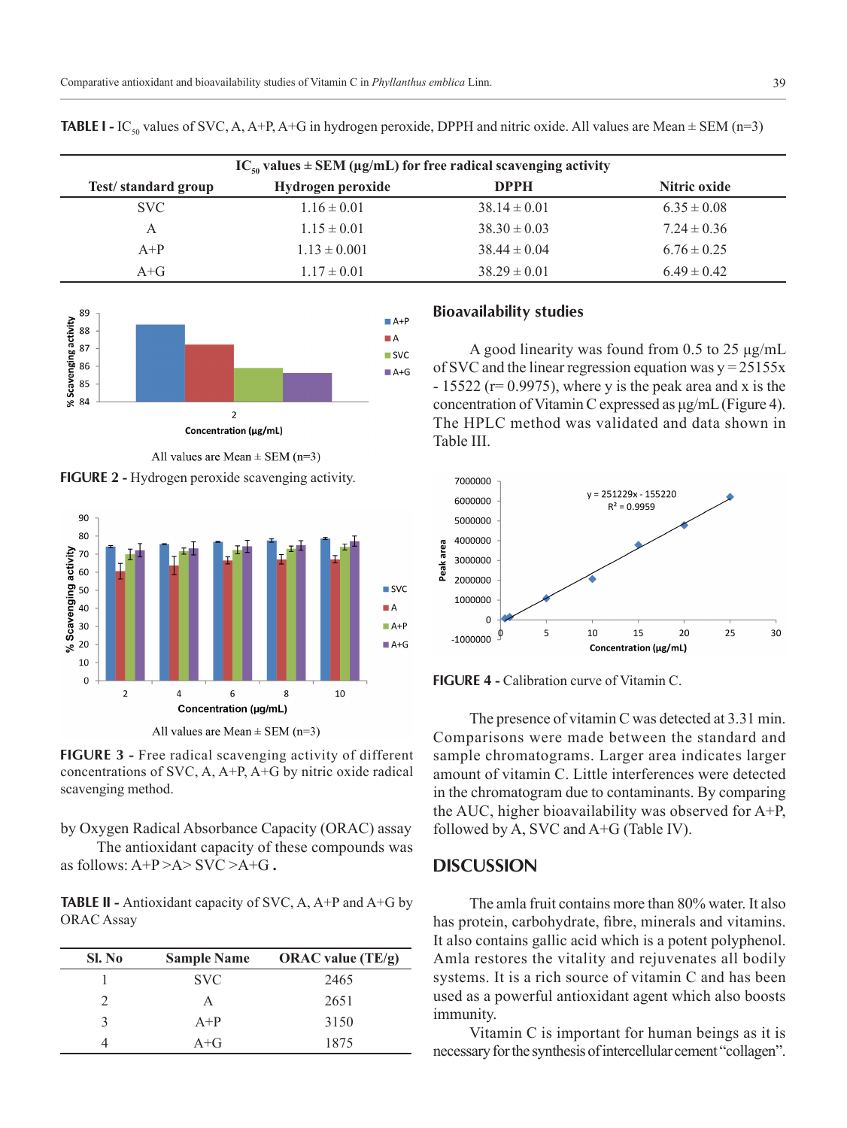| $IC_{50}$ values $\pm$ SEM (µg/mL) for free radical scavenging activity |                   |                  |                 |  |  |  |
|-------------------------------------------------------------------------|-------------------|------------------|-----------------|--|--|--|
| Test/standard group                                                     | Hydrogen peroxide | <b>DPPH</b>      | Nitric oxide    |  |  |  |
| <b>SVC</b>                                                              | $1.16 \pm 0.01$   | $38.14 \pm 0.01$ | $6.35 \pm 0.08$ |  |  |  |
| A                                                                       | $1.15 \pm 0.01$   | $38.30 \pm 0.03$ | $7.24 \pm 0.36$ |  |  |  |
| $A+P$                                                                   | $1.13 \pm 0.001$  | $38.44 \pm 0.04$ | $6.76 \pm 0.25$ |  |  |  |
| $A + G$                                                                 | $1.17 \pm 0.01$   | $38.29 \pm 0.01$ | $6.49 \pm 0.42$ |  |  |  |

**TABLE I -** IC<sub>50</sub> values of SVC, A, A+P, A+G in hydrogen peroxide, DPPH and nitric oxide. All values are Mean  $\pm$  SEM (n=3)



All values are Mean  $\pm$  SEM (n=3)

**FIGURE 2 -** Hydrogen peroxide scavenging activity.



All values are Mean  $\pm$  SEM (n=3)

**FIGURE 3 -** Free radical scavenging activity of different concentrations of SVC, A, A+P, A+G by nitric oxide radical scavenging method.

by Oxygen Radical Absorbance Capacity (ORAC) assay The antioxidant capacity of these compounds was as follows:  $A+P > A > SVC > A+G$ .

**TABLE II -** Antioxidant capacity of SVC, A, A+P and A+G by

ORAC Assay

| Sl. No | <b>Sample Name</b> | ORAC value $(TE/g)$ |
|--------|--------------------|---------------------|
|        | <b>SVC</b>         | 2465                |
|        |                    | 2651                |
|        | $A+P$              | 3150                |
|        | $A + G$            | 1875                |

#### **Bioavailability studies**

A good linearity was found from 0.5 to 25 μg/mL of SVC and the linear regression equation was  $y = 25155x$  $-15522$  (r= 0.9975), where y is the peak area and x is the concentration of Vitamin C expressed as μg/mL (Figure 4). The HPLC method was validated and data shown in Table III.



**FIGURE 4 -** Calibration curve of Vitamin C.

The presence of vitamin C was detected at 3.31 min. Comparisons were made between the standard and sample chromatograms. Larger area indicates larger amount of vitamin C. Little interferences were detected in the chromatogram due to contaminants. By comparing the AUC, higher bioavailability was observed for A+P, followed by A, SVC and A+G (Table IV).

# **DISCUSSION**

The amla fruit contains more than 80% water. It also has protein, carbohydrate, fibre, minerals and vitamins. It also contains gallic acid which is a potent polyphenol. Amla restores the vitality and rejuvenates all bodily systems. It is a rich source of vitamin C and has been used as a powerful antioxidant agent which also boosts immunity.

Vitamin C is important for human beings as it is necessary for the synthesis of intercellular cement "collagen".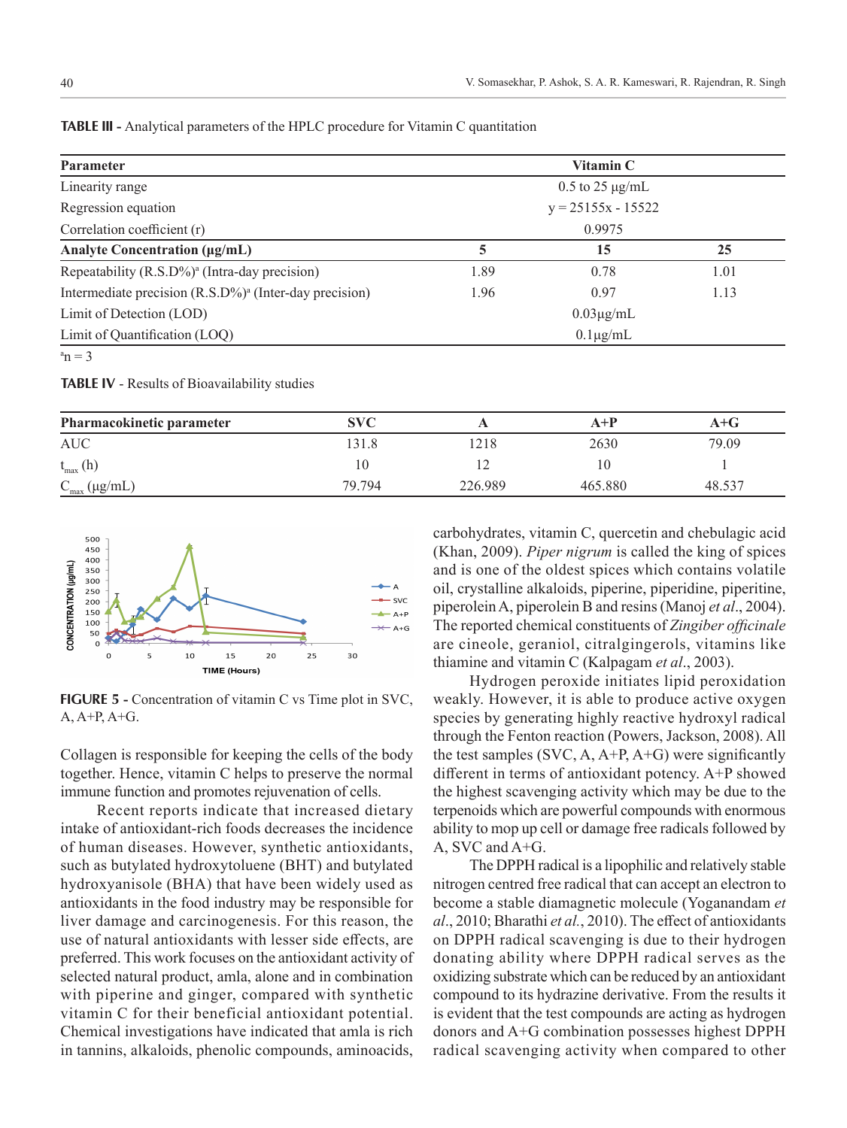| <b>Parameter</b>                                                   | Vitamin C              |      |      |  |
|--------------------------------------------------------------------|------------------------|------|------|--|
| Linearity range                                                    | $0.5$ to 25 $\mu$ g/mL |      |      |  |
| Regression equation                                                | $y = 25155x - 15522$   |      |      |  |
| Correlation coefficient (r)                                        | 0.9975                 |      |      |  |
| <b>Analyte Concentration (µg/mL)</b>                               | 5                      | 15   | 25   |  |
| Repeatability (R.S.D%) <sup>a</sup> (Intra-day precision)          | 1.89                   | 0.78 | 1.01 |  |
| Intermediate precision (R.S.D%) <sup>a</sup> (Inter-day precision) | 1.96                   | 0.97 | 1.13 |  |
| Limit of Detection (LOD)                                           | $0.03\mu g/mL$         |      |      |  |
| Limit of Quantification (LOQ)                                      | $0.1\mu$ g/mL          |      |      |  |
| $a_n = 3$                                                          |                        |      |      |  |

**TABLE III -** Analytical parameters of the HPLC procedure for Vitamin C quantitation

**TABLE IV** - Results of Bioavailability studies

| Pharmacokinetic parameter  | <b>SVC</b> |         | $A+P$   | A+G    |
|----------------------------|------------|---------|---------|--------|
| <b>AUC</b>                 | 131.8      | 1218    | 2630    | 79.09  |
| $t_{\text{max}}(h)$        | 10         |         | 10      |        |
| $C_{\text{max}}(\mu g/mL)$ | 79.794     | 226.989 | 465.880 | 48.537 |



**FIGURE 5 -** Concentration of vitamin C vs Time plot in SVC, A, A+P, A+G.

Collagen is responsible for keeping the cells of the body together. Hence, vitamin C helps to preserve the normal immune function and promotes rejuvenation of cells.

Recent reports indicate that increased dietary intake of antioxidant-rich foods decreases the incidence of human diseases. However, synthetic antioxidants, such as butylated hydroxytoluene (BHT) and butylated hydroxyanisole (BHA) that have been widely used as antioxidants in the food industry may be responsible for liver damage and carcinogenesis. For this reason, the use of natural antioxidants with lesser side effects, are preferred. This work focuses on the antioxidant activity of selected natural product, amla, alone and in combination with piperine and ginger, compared with synthetic vitamin C for their beneficial antioxidant potential. Chemical investigations have indicated that amla is rich in tannins, alkaloids, phenolic compounds, aminoacids,

carbohydrates, vitamin C, quercetin and chebulagic acid (Khan, 2009). *Piper nigrum* is called the king of spices and is one of the oldest spices which contains volatile oil, crystalline alkaloids, piperine, piperidine, piperitine, piperolein A, piperolein B and resins (Manoj *et al*., 2004). The reported chemical constituents of *Zingiber officinale* are cineole, geraniol, citralgingerols, vitamins like thiamine and vitamin C (Kalpagam *et al*., 2003).

Hydrogen peroxide initiates lipid peroxidation weakly. However, it is able to produce active oxygen species by generating highly reactive hydroxyl radical through the Fenton reaction (Powers, Jackson, 2008). All the test samples  $(SVC, A, A+P, A+G)$  were significantly different in terms of antioxidant potency. A+P showed the highest scavenging activity which may be due to the terpenoids which are powerful compounds with enormous ability to mop up cell or damage free radicals followed by A, SVC and A+G.

The DPPH radical is a lipophilic and relatively stable nitrogen centred free radical that can accept an electron to become a stable diamagnetic molecule (Yoganandam *et al*., 2010; Bharathi *et al.*, 2010). The effect of antioxidants on DPPH radical scavenging is due to their hydrogen donating ability where DPPH radical serves as the oxidizing substrate which can be reduced by an antioxidant compound to its hydrazine derivative. From the results it is evident that the test compounds are acting as hydrogen donors and A+G combination possesses highest DPPH radical scavenging activity when compared to other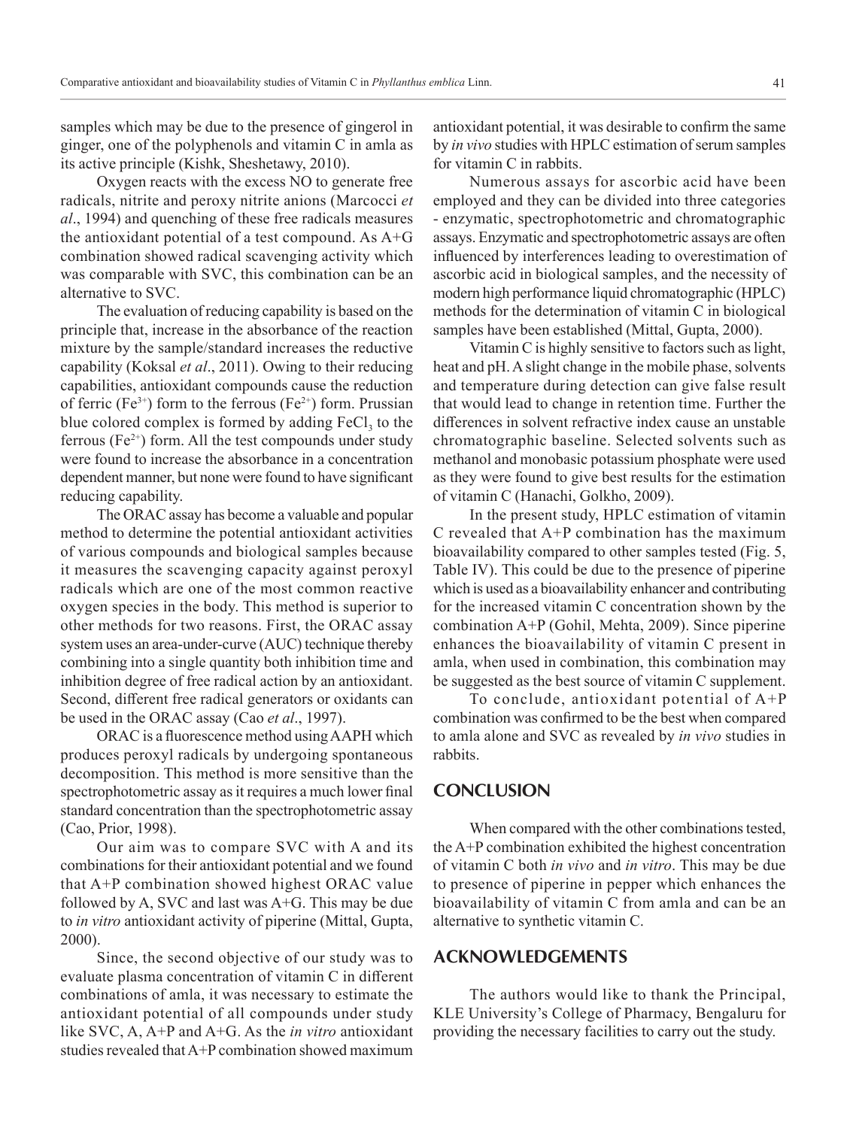samples which may be due to the presence of gingerol in ginger, one of the polyphenols and vitamin C in amla as its active principle (Kishk, Sheshetawy, 2010).

Oxygen reacts with the excess NO to generate free radicals, nitrite and peroxy nitrite anions (Marcocci *et al*., 1994) and quenching of these free radicals measures the antioxidant potential of a test compound. As A+G combination showed radical scavenging activity which was comparable with SVC, this combination can be an alternative to SVC.

The evaluation of reducing capability is based on the principle that, increase in the absorbance of the reaction mixture by the sample/standard increases the reductive capability (Koksal *et al*., 2011). Owing to their reducing capabilities, antioxidant compounds cause the reduction of ferric (Fe<sup>3+</sup>) form to the ferrous (Fe<sup>2+</sup>) form. Prussian blue colored complex is formed by adding  $FeCl<sub>3</sub>$  to the ferrous ( $Fe^{2+}$ ) form. All the test compounds under study were found to increase the absorbance in a concentration dependent manner, but none were found to have significant reducing capability.

The ORAC assay has become a valuable and popular method to determine the potential antioxidant activities of various compounds and biological samples because it measures the scavenging capacity against peroxyl radicals which are one of the most common reactive oxygen species in the body. This method is superior to other methods for two reasons. First, the ORAC assay system uses an area-under-curve (AUC) technique thereby combining into a single quantity both inhibition time and inhibition degree of free radical action by an antioxidant. Second, different free radical generators or oxidants can be used in the ORAC assay (Cao *et al*., 1997).

ORAC is a fluorescence method using AAPH which produces peroxyl radicals by undergoing spontaneous decomposition. This method is more sensitive than the spectrophotometric assay as it requires a much lower final standard concentration than the spectrophotometric assay (Cao, Prior, 1998).

Our aim was to compare SVC with A and its combinations for their antioxidant potential and we found that A+P combination showed highest ORAC value followed by A, SVC and last was A+G. This may be due to *in vitro* antioxidant activity of piperine (Mittal, Gupta, 2000).

Since, the second objective of our study was to evaluate plasma concentration of vitamin C in different combinations of amla, it was necessary to estimate the antioxidant potential of all compounds under study like SVC, A, A+P and A+G. As the *in vitro* antioxidant studies revealed that A+P combination showed maximum antioxidant potential, it was desirable to confirm the same by *in vivo* studies with HPLC estimation of serum samples for vitamin C in rabbits.

Numerous assays for ascorbic acid have been employed and they can be divided into three categories - enzymatic, spectrophotometric and chromatographic assays. Enzymatic and spectrophotometric assays are often influenced by interferences leading to overestimation of ascorbic acid in biological samples, and the necessity of modern high performance liquid chromatographic (HPLC) methods for the determination of vitamin C in biological samples have been established (Mittal, Gupta, 2000).

Vitamin C is highly sensitive to factors such as light, heat and pH. A slight change in the mobile phase, solvents and temperature during detection can give false result that would lead to change in retention time. Further the differences in solvent refractive index cause an unstable chromatographic baseline. Selected solvents such as methanol and monobasic potassium phosphate were used as they were found to give best results for the estimation of vitamin C (Hanachi, Golkho, 2009).

In the present study, HPLC estimation of vitamin C revealed that A+P combination has the maximum bioavailability compared to other samples tested (Fig. 5, Table IV). This could be due to the presence of piperine which is used as a bioavailability enhancer and contributing for the increased vitamin C concentration shown by the combination A+P (Gohil, Mehta, 2009). Since piperine enhances the bioavailability of vitamin C present in amla, when used in combination, this combination may be suggested as the best source of vitamin C supplement.

To conclude, antioxidant potential of A+P combination was confirmed to be the best when compared to amla alone and SVC as revealed by *in vivo* studies in rabbits.

# **CONCLUSION**

When compared with the other combinations tested, the A+P combination exhibited the highest concentration of vitamin C both *in vivo* and *in vitro*. This may be due to presence of piperine in pepper which enhances the bioavailability of vitamin C from amla and can be an alternative to synthetic vitamin C.

# **ACKNOWLEDGEMENTS**

The authors would like to thank the Principal, KLE University's College of Pharmacy, Bengaluru for providing the necessary facilities to carry out the study.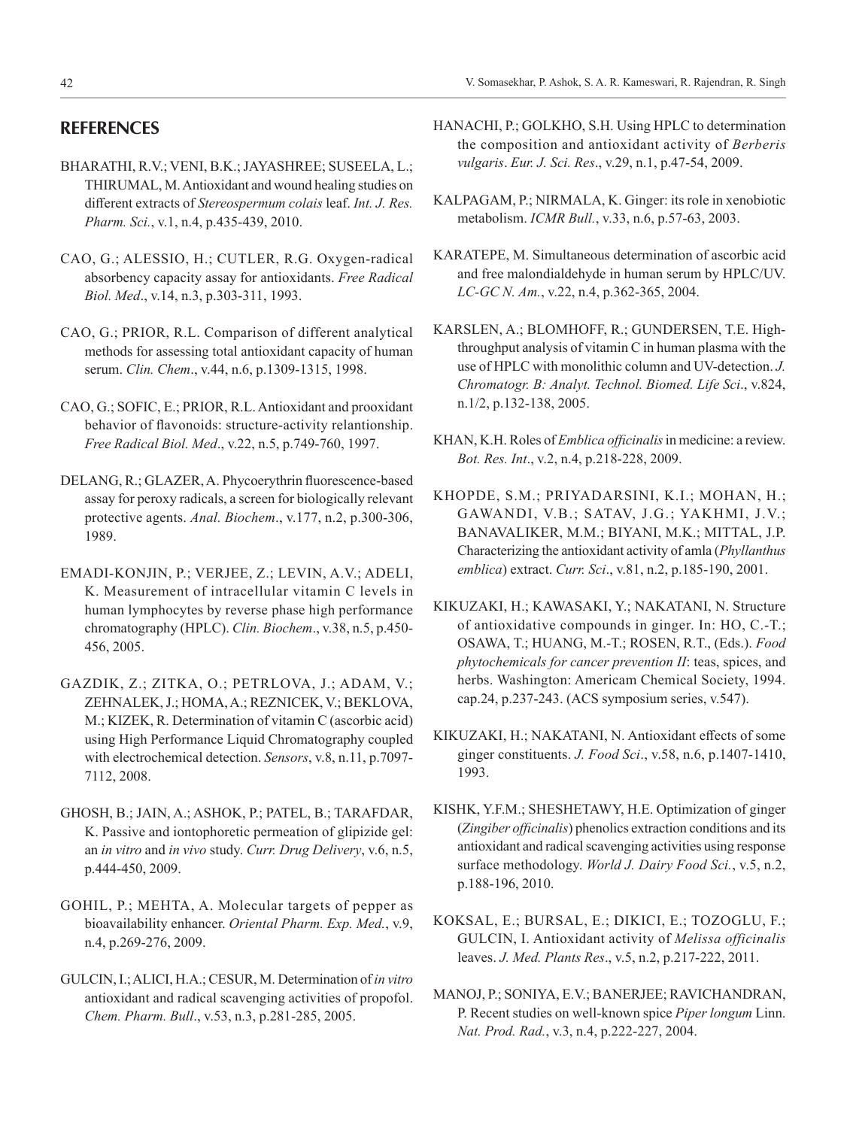# **REFERENCES**

- BHARATHI, R.V.; VENI, B.K.; JAYASHREE; SUSEELA, L.; THIRUMAL, M. Antioxidant and wound healing studies on different extracts of *Stereospermum colais* leaf. *Int. J. Res. Pharm. Sci.*, v.1, n.4, p.435-439, 2010.
- CAO, G.; ALESSIO, H.; CUTLER, R.G. Oxygen-radical absorbency capacity assay for antioxidants. *Free Radical Biol. Med*., v.14, n.3, p.303-311, 1993.
- CAO, G.; PRIOR, R.L. Comparison of different analytical methods for assessing total antioxidant capacity of human serum. *Clin. Chem*., v.44, n.6, p.1309-1315, 1998.
- CAO, G.; SOFIC, E.; PRIOR, R.L. Antioxidant and prooxidant behavior of flavonoids: structure-activity relantionship. *Free Radical Biol. Med*., v.22, n.5, p.749-760, 1997.
- DELANG, R.; GLAZER, A. Phycoerythrin fluorescence-based assay for peroxy radicals, a screen for biologically relevant protective agents. *Anal. Biochem*., v.177, n.2, p.300-306, 1989.
- EMADI-KONJIN, P.; VERJEE, Z.; LEVIN, A.V.; ADELI, K. Measurement of intracellular vitamin C levels in human lymphocytes by reverse phase high performance chromatography (HPLC). *Clin. Biochem*., v.38, n.5, p.450- 456, 2005.
- GAZDIK, Z.; ZITKA, O.; PETRLOVA, J.; ADAM, V.; ZEHNALEK, J.; HOMA, A.; REZNICEK, V.; BEKLOVA, M.; KIZEK, R. Determination of vitamin C (ascorbic acid) using High Performance Liquid Chromatography coupled with electrochemical detection. *Sensors*, v.8, n.11, p.7097- 7112, 2008.
- GHOSH, B.; JAIN, A.; ASHOK, P.; PATEL, B.; TARAFDAR, K. Passive and iontophoretic permeation of glipizide gel: an *in vitro* and *in vivo* study. *Curr. Drug Delivery*, v.6, n.5, p.444-450, 2009.
- GOHIL, P.; MEHTA, A. Molecular targets of pepper as bioavailability enhancer. *Oriental Pharm. Exp. Med.*, v.9, n.4, p.269-276, 2009.
- GULCIN, I.; ALICI, H.A.; CESUR, M. Determination of *in vitro* antioxidant and radical scavenging activities of propofol. *Chem. Pharm. Bull*., v.53, n.3, p.281-285, 2005.
- HANACHI, P.; GOLKHO, S.H. Using HPLC to determination the composition and antioxidant activity of *Berberis vulgaris*. *Eur. J. Sci. Res*., v.29, n.1, p.47-54, 2009.
- KALPAGAM, P.; NIRMALA, K. Ginger: its role in xenobiotic metabolism. *ICMR Bull.*, v.33, n.6, p.57-63, 2003.
- KARATEPE, M. Simultaneous determination of ascorbic acid and free malondialdehyde in human serum by HPLC/UV. *LC-GC N. Am.*, v.22, n.4, p.362-365, 2004.
- KARSLEN, A.; BLOMHOFF, R.; GUNDERSEN, T.E. Highthroughput analysis of vitamin C in human plasma with the use of HPLC with monolithic column and UV-detection. *J. Chromatogr. B: Analyt. Technol. Biomed. Life Sci*., v.824, n.1/2, p.132-138, 2005.
- KHAN, K.H. Roles of *Emblica officinalis* in medicine: a review. *Bot. Res. Int*., v.2, n.4, p.218-228, 2009.
- KHOPDE, S.M.; PRIYADARSINI, K.I.; MOHAN, H.; GAWANDI, V.B.; SATAV, J.G.; YAKHMI, J.V.; BANAVALIKER, M.M.; BIYANI, M.K.; MITTAL, J.P. Characterizing the antioxidant activity of amla (*Phyllanthus emblica*) extract. *Curr. Sci*., v.81, n.2, p.185-190, 2001.
- KIKUZAKI, H.; KAWASAKI, Y.; NAKATANI, N. Structure of antioxidative compounds in ginger. In: HO, C.-T.; OSAWA, T.; HUANG, M.-T.; ROSEN, R.T., (Eds.). *Food phytochemicals for cancer prevention II*: teas, spices, and herbs. Washington: Americam Chemical Society, 1994. cap.24, p.237-243. (ACS symposium series, v.547).
- KIKUZAKI, H.; NAKATANI, N. Antioxidant effects of some ginger constituents. *J. Food Sci*., v.58, n.6, p.1407-1410, 1993.
- KISHK, Y.F.M.; SHESHETAWY, H.E. Optimization of ginger (*Zingiber officinalis*) phenolics extraction conditions and its antioxidant and radical scavenging activities using response surface methodology. *World J. Dairy Food Sci.*, v.5, n.2, p.188-196, 2010.
- KOKSAL, E.; BURSAL, E.; DIKICI, E.; TOZOGLU, F.; GULCIN, I. Antioxidant activity of *Melissa officinalis* leaves. *J. Med. Plants Res*., v.5, n.2, p.217-222, 2011.
- MANOJ, P.; SONIYA, E.V.; BANERJEE; RAVICHANDRAN, P. Recent studies on well-known spice *Piper longum* Linn. *Nat. Prod. Rad.*, v.3, n.4, p.222-227, 2004.